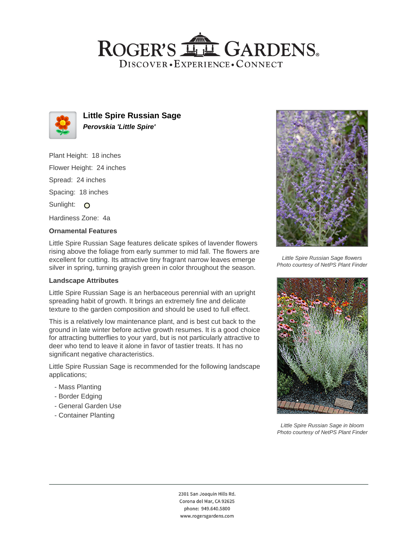## ROGER'S LL GARDENS. DISCOVER · EXPERIENCE · CONNECT



**Little Spire Russian Sage Perovskia 'Little Spire'**

Plant Height: 18 inches Flower Height: 24 inches Spread: 24 inches Spacing: 18 inches Sunlight: O Hardiness Zone: 4a

## **Ornamental Features**

Little Spire Russian Sage features delicate spikes of lavender flowers rising above the foliage from early summer to mid fall. The flowers are excellent for cutting. Its attractive tiny fragrant narrow leaves emerge silver in spring, turning grayish green in color throughout the season.

#### **Landscape Attributes**

Little Spire Russian Sage is an herbaceous perennial with an upright spreading habit of growth. It brings an extremely fine and delicate texture to the garden composition and should be used to full effect.

This is a relatively low maintenance plant, and is best cut back to the ground in late winter before active growth resumes. It is a good choice for attracting butterflies to your yard, but is not particularly attractive to deer who tend to leave it alone in favor of tastier treats. It has no significant negative characteristics.

Little Spire Russian Sage is recommended for the following landscape applications;

- Mass Planting
- Border Edging
- General Garden Use
- Container Planting



Little Spire Russian Sage flowers Photo courtesy of NetPS Plant Finder



Little Spire Russian Sage in bloom Photo courtesy of NetPS Plant Finder

2301 San Joaquin Hills Rd. Corona del Mar, CA 92625 phone: 949.640.5800 www.rogersgardens.com